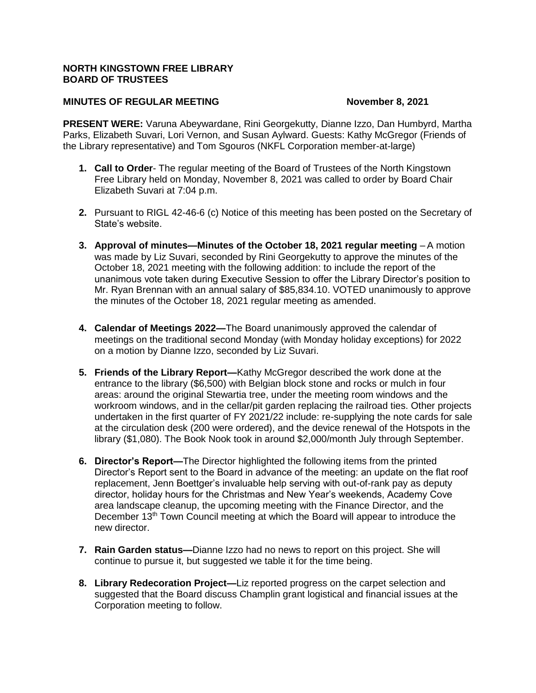## **NORTH KINGSTOWN FREE LIBRARY BOARD OF TRUSTEES**

## **MINUTES OF REGULAR MEETING November 8, 2021**

**PRESENT WERE:** Varuna Abeywardane, Rini Georgekutty, Dianne Izzo, Dan Humbyrd, Martha Parks, Elizabeth Suvari, Lori Vernon, and Susan Aylward. Guests: Kathy McGregor (Friends of the Library representative) and Tom Sgouros (NKFL Corporation member-at-large)

- **1. Call to Order** The regular meeting of the Board of Trustees of the North Kingstown Free Library held on Monday, November 8, 2021 was called to order by Board Chair Elizabeth Suvari at 7:04 p.m.
- **2.** Pursuant to RIGL 42-46-6 (c) Notice of this meeting has been posted on the Secretary of State's website.
- **3. Approval of minutes—Minutes of the October 18, 2021 regular meeting** A motion was made by Liz Suvari, seconded by Rini Georgekutty to approve the minutes of the October 18, 2021 meeting with the following addition: to include the report of the unanimous vote taken during Executive Session to offer the Library Director's position to Mr. Ryan Brennan with an annual salary of \$85,834.10. VOTED unanimously to approve the minutes of the October 18, 2021 regular meeting as amended.
- **4. Calendar of Meetings 2022—**The Board unanimously approved the calendar of meetings on the traditional second Monday (with Monday holiday exceptions) for 2022 on a motion by Dianne Izzo, seconded by Liz Suvari.
- **5. Friends of the Library Report—**Kathy McGregor described the work done at the entrance to the library (\$6,500) with Belgian block stone and rocks or mulch in four areas: around the original Stewartia tree, under the meeting room windows and the workroom windows, and in the cellar/pit garden replacing the railroad ties. Other projects undertaken in the first quarter of FY 2021/22 include: re-supplying the note cards for sale at the circulation desk (200 were ordered), and the device renewal of the Hotspots in the library (\$1,080). The Book Nook took in around \$2,000/month July through September.
- **6. Director's Report—**The Director highlighted the following items from the printed Director's Report sent to the Board in advance of the meeting: an update on the flat roof replacement, Jenn Boettger's invaluable help serving with out-of-rank pay as deputy director, holiday hours for the Christmas and New Year's weekends, Academy Cove area landscape cleanup, the upcoming meeting with the Finance Director, and the December 13<sup>th</sup> Town Council meeting at which the Board will appear to introduce the new director.
- **7. Rain Garden status—**Dianne Izzo had no news to report on this project. She will continue to pursue it, but suggested we table it for the time being.
- **8. Library Redecoration Project—**Liz reported progress on the carpet selection and suggested that the Board discuss Champlin grant logistical and financial issues at the Corporation meeting to follow.